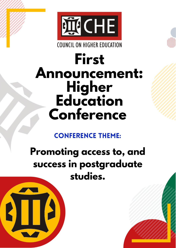

**COUNCIL ON HIGHER EDUCATION** 

# **First Announcement: Higher**<br>**Education** Conference

### **CONFERENCE THEME:**

## Promoting access to, and success in postgraduate studies.

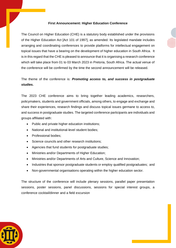#### **First Announcement: Higher Education Conference**

The Council on Higher Education (CHE) is a statutory body established under the provisions of the Higher Education Act [Act 101 of 1997], as amended. Its legislated mandate includes arranging and coordinating conferences to provide platforms for intellectual engagement on topical issues that have a bearing on the development of higher education in South Africa. It is in this regard that the CHE is pleased to announce that it is organising a research conference which will take place from 01 to 03 March 2023 in Pretoria, South Africa. The actual venue of the conference will be confirmed by the time the second announcement will be released.

The theme of the conference is: *Promoting access to, and success in postgraduate studies.*

The 2023 CHE conference aims to bring together leading academics, researchers, policymakers, students and government officials, among others, to engage and exchange and share their experiences, research findings and discuss topical issues germane to access to, and success in postgraduate studies. The targeted conference participants are individuals and groups affiliated with:

- Public and private higher education institutions;
- National and institutional-level student bodies;
- Professional bodies:
- Science councils and other research institutions;
- Agencies that fund students for postgraduate studies;
- Ministries and/or Departments of Higher Education;
- Ministries and/or Departments of Arts and Culture, Science and Innovation;
- Industries that sponsor postgraduate students or employ qualified postgraduates; and
- Non-governmental organisations operating within the higher education sector.

The structure of the conference will include plenary sessions, parallel paper presentation sessions, poster sessions, panel discussions, sessions for special interest groups, a conference cocktail/dinner and a field excursion

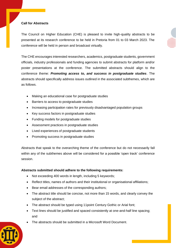#### **Call for Abstracts**

The Council on Higher Education (CHE) is pleased to invite high-quality abstracts to be presented at its research conference to be held in Pretoria from 01 to 03 March 2023. The conference will be held in person and broadcast virtually.

The CHE encourages interested researchers, academics, postgraduate students, government officials, industry professionals and funding agencies to submit abstracts for platform and/or poster presentations at the conference. The submitted abstracts should align to the conference theme: *Promoting access to, and success in postgraduate studies*. The abstracts should specifically address issues outlined in the associated subthemes, which are as follows.

- Making an educational case for postgraduate studies
- Barriers to access to postgraduate studies
- Increasing participation rates for previously disadvantaged population groups
- Key success factors in postgraduate studies
- Funding models for postgraduate studies
- Assessment practices in postgraduate studies
- Lived experiences of postgraduate students
- Promoting success in postgraduate studies

Abstracts that speak to the overarching theme of the conference but do not necessarily fall within any of the subthemes above will be considered for a possible 'open track' conference session.

#### **Abstracts submitted should adhere to the following requirements:**

- Not exceeding 400 words in length, including 5 keywords;
- Reflect titles, names of authors and their institutional or organisational affiliations;
- Bear email addresses of the corresponding authors;
- The abstract title should be concise, not more than 15 words, and clearly convey the subject of the abstract;
- The abstract should be typed using 11 point Century Gothic or Arial font;
- Text lines should be justified and spaced consistently at one-and-half line spacing; and
- The abstracts should be submitted in a Microsoft Word Document.

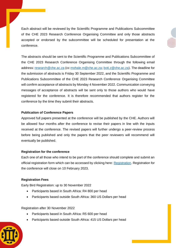Each abstract will be reviewed by the Scientific Programme and Publications Subcommittee of the CHE 2023 Research Conference Organising Committee and only those abstracts accepted or endorsed by the subcommittee will be scheduled for presentation at the conference.

The abstracts should be sent to the Scientific Programme and Publications Subcommittee of the CHE 2023 Research Conference Organising Committee through the following email address: [research@che.ac.za](mailto:research@che.ac.za) (cc [mohale.m@che.ac.za;](mailto:mohale.m@che.ac.za) [boti.z@che.ac.za\)](mailto:boti.z@che.ac.za). The deadline for the submission of abstracts is Friday 30 September 2022, and the Scientific Programme and Publications Subcommittee of the CHE 2023 Research Conference Organising Committee will confirm acceptance of abstracts by Monday 4 November 2022. Communication conveying messages of acceptance of abstracts will be sent only to those authors who would have registered for the conference. It is therefore recommended that authors register for the conference by the time they submit their abstracts.

#### **Publication of Conference Papers**

Approved full papers presented at the conference will be published by the CHE. Authors will be allowed four months after the conference to revise their papers in line with the inputs received at the conference. The revised papers will further undergo a peer-review process before being published and only the papers that the peer reviewers will recommend will eventually be published.

#### **Registration for the conference**

Each one of all those who intend to be part of the conference should complete and submit an official registration form which can be accessed by clicking here: [Registration.](https://www.surveymonkey.com/r/CQP7JW3) Registration for the conference will close on 10 February 2023.

#### **Registration Fees**

Early Bird Registration: up to 30 November 2022

- Participants based in South Africa: R4 800 per head
- Participants based outside South Africa: 360 US Dollars per head

Registration after 30 November 2022

- Participants based in South Africa: R5 600 per head
- Participants based outside South Africa: 415 US Dollars per head